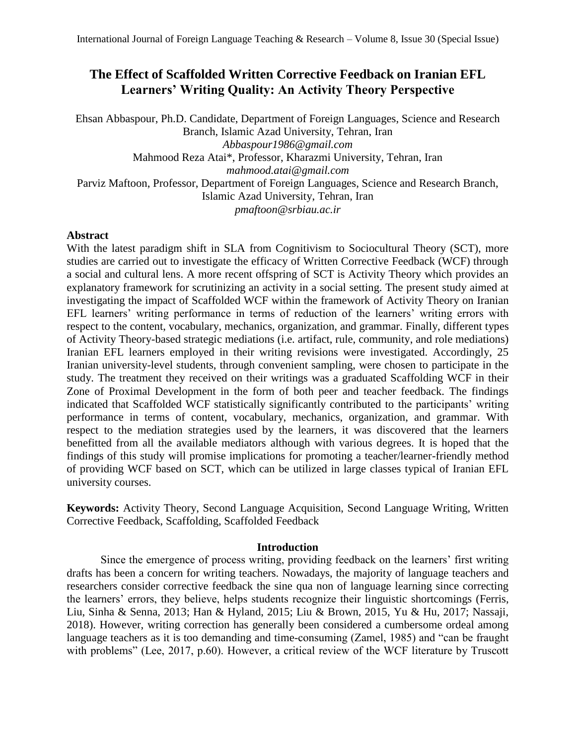# **The Effect of Scaffolded Written Corrective Feedback on Iranian EFL Learners' Writing Quality: An Activity Theory Perspective**

Ehsan Abbaspour, Ph.D. Candidate, Department of Foreign Languages, Science and Research Branch, Islamic Azad University, Tehran, Iran *Abbaspour1986@gmail.com* Mahmood Reza Atai\*, Professor, Kharazmi University, Tehran, Iran *mahmood.atai@gmail.com* Parviz Maftoon, Professor, Department of Foreign Languages, Science and Research Branch, Islamic Azad University, Tehran, Iran *[pmaftoon@srbiau.ac.ir](mailto:pmaftoon@srbiau.ac.ir)*

# **Abstract**

With the latest paradigm shift in SLA from Cognitivism to Sociocultural Theory (SCT), more studies are carried out to investigate the efficacy of Written Corrective Feedback (WCF) through a social and cultural lens. A more recent offspring of SCT is Activity Theory which provides an explanatory framework for scrutinizing an activity in a social setting. The present study aimed at investigating the impact of Scaffolded WCF within the framework of Activity Theory on Iranian EFL learners' writing performance in terms of reduction of the learners' writing errors with respect to the content, vocabulary, mechanics, organization, and grammar. Finally, different types of Activity Theory-based strategic mediations (i.e. artifact, rule, community, and role mediations) Iranian EFL learners employed in their writing revisions were investigated. Accordingly, 25 Iranian university-level students, through convenient sampling, were chosen to participate in the study. The treatment they received on their writings was a graduated Scaffolding WCF in their Zone of Proximal Development in the form of both peer and teacher feedback. The findings indicated that Scaffolded WCF statistically significantly contributed to the participants' writing performance in terms of content, vocabulary, mechanics, organization, and grammar. With respect to the mediation strategies used by the learners, it was discovered that the learners benefitted from all the available mediators although with various degrees. It is hoped that the findings of this study will promise implications for promoting a teacher/learner-friendly method of providing WCF based on SCT, which can be utilized in large classes typical of Iranian EFL university courses.

**Keywords:** Activity Theory, Second Language Acquisition, Second Language Writing, Written Corrective Feedback, Scaffolding, Scaffolded Feedback

# **Introduction**

Since the emergence of process writing, providing feedback on the learners' first writing drafts has been a concern for writing teachers. Nowadays, the majority of language teachers and researchers consider corrective feedback the sine qua non of language learning since correcting the learners' errors, they believe, helps students recognize their linguistic shortcomings (Ferris, Liu, Sinha & Senna, 2013; Han & Hyland, 2015; Liu & Brown, 2015, Yu & Hu, 2017; Nassaji, 2018). However, writing correction has generally been considered a cumbersome ordeal among language teachers as it is too demanding and time-consuming (Zamel, 1985) and "can be fraught with problems" (Lee, 2017, p.60). However, a critical review of the WCF literature by Truscott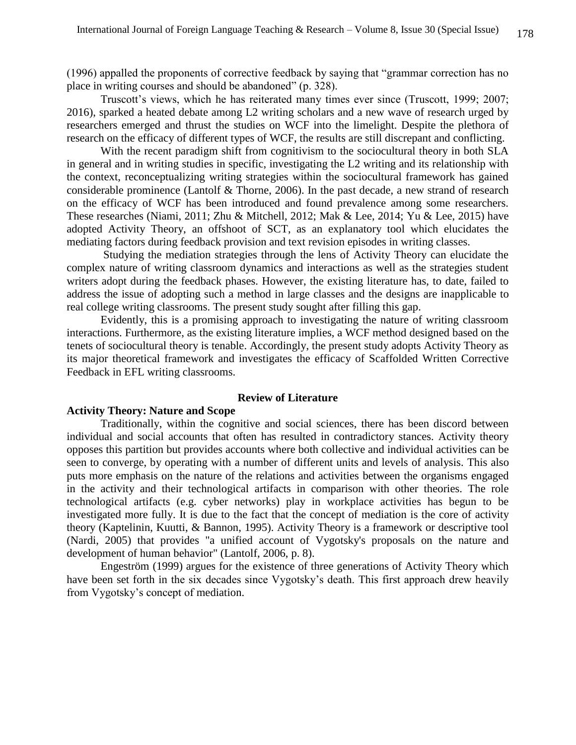(1996) appalled the proponents of corrective feedback by saying that "grammar correction has no place in writing courses and should be abandoned" (p. 328).

Truscott's views, which he has reiterated many times ever since (Truscott, 1999; 2007; 2016), sparked a heated debate among L2 writing scholars and a new wave of research urged by researchers emerged and thrust the studies on WCF into the limelight. Despite the plethora of research on the efficacy of different types of WCF, the results are still discrepant and conflicting.

With the recent paradigm shift from cognitivism to the sociocultural theory in both SLA in general and in writing studies in specific, investigating the L2 writing and its relationship with the context, reconceptualizing writing strategies within the sociocultural framework has gained considerable prominence (Lantolf & Thorne, 2006). In the past decade, a new strand of research on the efficacy of WCF has been introduced and found prevalence among some researchers. These researches (Niami, 2011; Zhu & Mitchell, 2012; Mak & Lee, 2014; Yu & Lee, 2015) have adopted Activity Theory, an offshoot of SCT, as an explanatory tool which elucidates the mediating factors during feedback provision and text revision episodes in writing classes.

Studying the mediation strategies through the lens of Activity Theory can elucidate the complex nature of writing classroom dynamics and interactions as well as the strategies student writers adopt during the feedback phases. However, the existing literature has, to date, failed to address the issue of adopting such a method in large classes and the designs are inapplicable to real college writing classrooms. The present study sought after filling this gap.

Evidently, this is a promising approach to investigating the nature of writing classroom interactions. Furthermore, as the existing literature implies, a WCF method designed based on the tenets of sociocultural theory is tenable. Accordingly, the present study adopts Activity Theory as its major theoretical framework and investigates the efficacy of Scaffolded Written Corrective Feedback in EFL writing classrooms.

#### **Review of Literature**

### **Activity Theory: Nature and Scope**

Traditionally, within the cognitive and social sciences, there has been discord between individual and social accounts that often has resulted in contradictory stances. Activity theory opposes this partition but provides accounts where both collective and individual activities can be seen to converge, by operating with a number of different units and levels of analysis. This also puts more emphasis on the nature of the relations and activities between the organisms engaged in the activity and their technological artifacts in comparison with other theories. The role technological artifacts (e.g. cyber networks) play in workplace activities has begun to be investigated more fully. It is due to the fact that the concept of mediation is the core of activity theory (Kaptelinin, Kuutti, & Bannon, 1995). Activity Theory is a framework or descriptive tool (Nardi, 2005) that provides "a unified account of Vygotsky's proposals on the nature and development of human behavior" (Lantolf, 2006, p. 8).

Engeström (1999) argues for the existence of three generations of Activity Theory which have been set forth in the six decades since Vygotsky's death. This first approach drew heavily from Vygotsky's concept of mediation.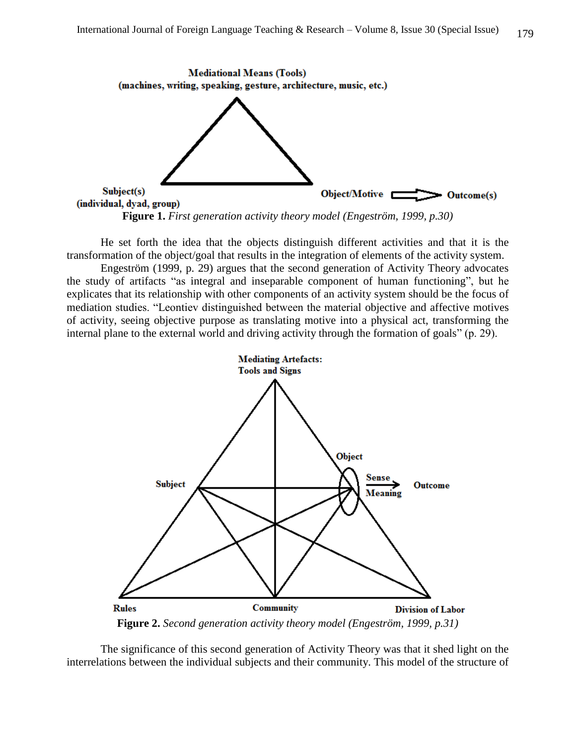

**Figure 1.** *First generation activity theory model (Engeström, 1999, p.30)*

He set forth the idea that the objects distinguish different activities and that it is the transformation of the object/goal that results in the integration of elements of the activity system.

Engeström (1999, p. 29) argues that the second generation of Activity Theory advocates the study of artifacts "as integral and inseparable component of human functioning", but he explicates that its relationship with other components of an activity system should be the focus of mediation studies. "Leontiev distinguished between the material objective and affective motives of activity, seeing objective purpose as translating motive into a physical act, transforming the internal plane to the external world and driving activity through the formation of goals" (p. 29).



**Figure 2.** *Second generation activity theory model (Engeström, 1999, p.31)*

The significance of this second generation of Activity Theory was that it shed light on the interrelations between the individual subjects and their community. This model of the structure of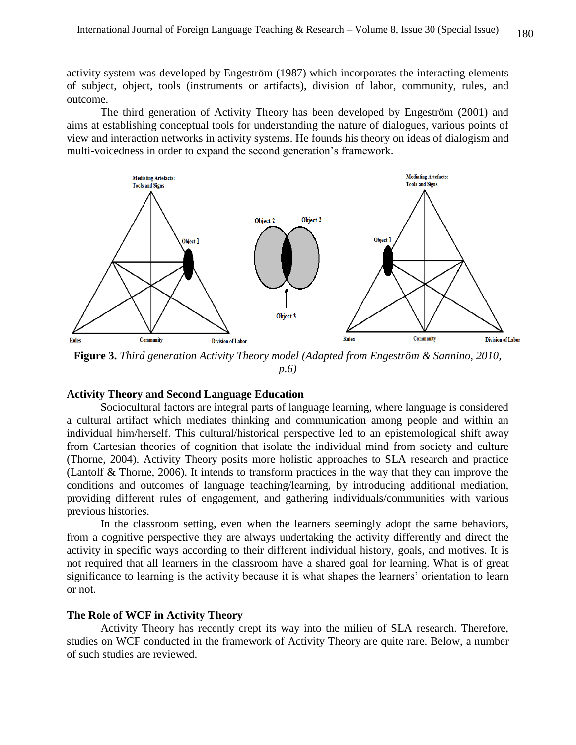activity system was developed by Engeström (1987) which incorporates the interacting elements of subject, object, tools (instruments or artifacts), division of labor, community, rules, and outcome.

The third generation of Activity Theory has been developed by Engeström (2001) and aims at establishing conceptual tools for understanding the nature of dialogues, various points of view and interaction networks in activity systems. He founds his theory on ideas of dialogism and multi-voicedness in order to expand the second generation's framework.



**Figure 3.** *Third generation Activity Theory model (Adapted from Engeström & Sannino, 2010, p.6)*

### **Activity Theory and Second Language Education**

Sociocultural factors are integral parts of language learning, where language is considered a cultural artifact which mediates thinking and communication among people and within an individual him/herself. This cultural/historical perspective led to an epistemological shift away from Cartesian theories of cognition that isolate the individual mind from society and culture (Thorne, 2004). Activity Theory posits more holistic approaches to SLA research and practice (Lantolf & Thorne, 2006). It intends to transform practices in the way that they can improve the conditions and outcomes of language teaching/learning, by introducing additional mediation, providing different rules of engagement, and gathering individuals/communities with various previous histories.

In the classroom setting, even when the learners seemingly adopt the same behaviors, from a cognitive perspective they are always undertaking the activity differently and direct the activity in specific ways according to their different individual history, goals, and motives. It is not required that all learners in the classroom have a shared goal for learning. What is of great significance to learning is the activity because it is what shapes the learners' orientation to learn or not.

#### **The Role of WCF in Activity Theory**

Activity Theory has recently crept its way into the milieu of SLA research. Therefore, studies on WCF conducted in the framework of Activity Theory are quite rare. Below, a number of such studies are reviewed.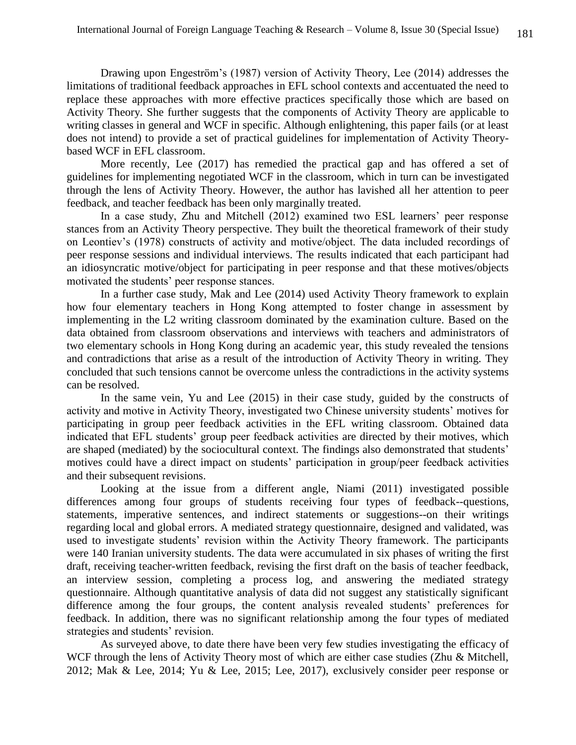Drawing upon Engeström's (1987) version of Activity Theory, Lee (2014) addresses the limitations of traditional feedback approaches in EFL school contexts and accentuated the need to replace these approaches with more effective practices specifically those which are based on Activity Theory. She further suggests that the components of Activity Theory are applicable to writing classes in general and WCF in specific. Although enlightening, this paper fails (or at least does not intend) to provide a set of practical guidelines for implementation of Activity Theorybased WCF in EFL classroom.

More recently, Lee (2017) has remedied the practical gap and has offered a set of guidelines for implementing negotiated WCF in the classroom, which in turn can be investigated through the lens of Activity Theory. However, the author has lavished all her attention to peer feedback, and teacher feedback has been only marginally treated.

In a case study, Zhu and Mitchell (2012) examined two ESL learners' peer response stances from an Activity Theory perspective. They built the theoretical framework of their study on Leontiev's (1978) constructs of activity and motive/object. The data included recordings of peer response sessions and individual interviews. The results indicated that each participant had an idiosyncratic motive/object for participating in peer response and that these motives/objects motivated the students' peer response stances.

In a further case study, Mak and Lee (2014) used Activity Theory framework to explain how four elementary teachers in Hong Kong attempted to foster change in assessment by implementing in the L2 writing classroom dominated by the examination culture. Based on the data obtained from classroom observations and interviews with teachers and administrators of two elementary schools in Hong Kong during an academic year, this study revealed the tensions and contradictions that arise as a result of the introduction of Activity Theory in writing. They concluded that such tensions cannot be overcome unless the contradictions in the activity systems can be resolved.

In the same vein, Yu and Lee (2015) in their case study, guided by the constructs of activity and motive in Activity Theory, investigated two Chinese university students' motives for participating in group peer feedback activities in the EFL writing classroom. Obtained data indicated that EFL students' group peer feedback activities are directed by their motives, which are shaped (mediated) by the sociocultural context. The findings also demonstrated that students' motives could have a direct impact on students' participation in group/peer feedback activities and their subsequent revisions.

Looking at the issue from a different angle, Niami (2011) investigated possible differences among four groups of students receiving four types of feedback--questions, statements, imperative sentences, and indirect statements or suggestions--on their writings regarding local and global errors. A mediated strategy questionnaire, designed and validated, was used to investigate students' revision within the Activity Theory framework. The participants were 140 Iranian university students. The data were accumulated in six phases of writing the first draft, receiving teacher-written feedback, revising the first draft on the basis of teacher feedback, an interview session, completing a process log, and answering the mediated strategy questionnaire. Although quantitative analysis of data did not suggest any statistically significant difference among the four groups, the content analysis revealed students' preferences for feedback. In addition, there was no significant relationship among the four types of mediated strategies and students' revision.

As surveyed above, to date there have been very few studies investigating the efficacy of WCF through the lens of Activity Theory most of which are either case studies (Zhu & Mitchell, 2012; Mak & Lee, 2014; Yu & Lee, 2015; Lee, 2017), exclusively consider peer response or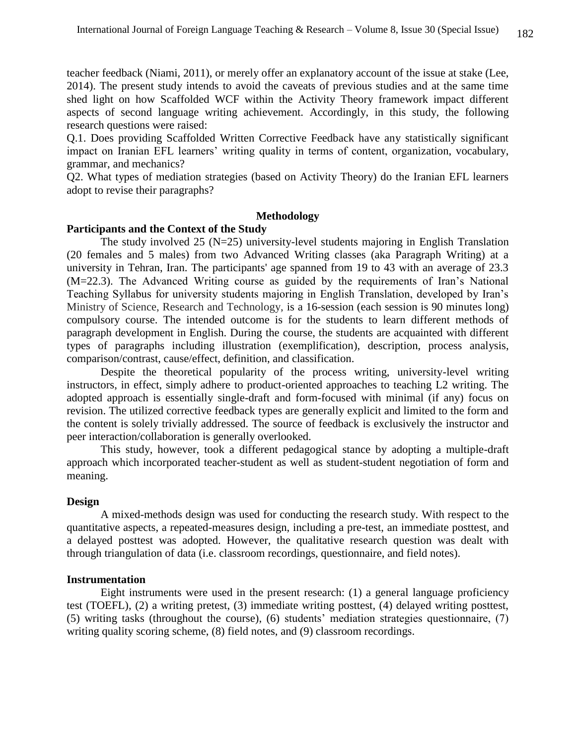teacher feedback (Niami, 2011), or merely offer an explanatory account of the issue at stake (Lee, 2014). The present study intends to avoid the caveats of previous studies and at the same time shed light on how Scaffolded WCF within the Activity Theory framework impact different aspects of second language writing achievement. Accordingly, in this study, the following research questions were raised:

Q.1. Does providing Scaffolded Written Corrective Feedback have any statistically significant impact on Iranian EFL learners' writing quality in terms of content, organization, vocabulary, grammar, and mechanics?

Q2. What types of mediation strategies (based on Activity Theory) do the Iranian EFL learners adopt to revise their paragraphs?

### **Methodology**

### **Participants and the Context of the Study**

The study involved 25 (N=25) university-level students majoring in English Translation (20 females and 5 males) from two Advanced Writing classes (aka Paragraph Writing) at a university in Tehran, Iran. The participants' age spanned from 19 to 43 with an average of 23.3 (M=22.3). The Advanced Writing course as guided by the requirements of Iran's National Teaching Syllabus for university students majoring in English Translation, developed by Iran's Ministry of Science, Research and Technology, is a 16-session (each session is 90 minutes long) compulsory course. The intended outcome is for the students to learn different methods of paragraph development in English. During the course, the students are acquainted with different types of paragraphs including illustration (exemplification), description, process analysis, comparison/contrast, cause/effect, definition, and classification.

Despite the theoretical popularity of the process writing, university-level writing instructors, in effect, simply adhere to product-oriented approaches to teaching L2 writing. The adopted approach is essentially single-draft and form-focused with minimal (if any) focus on revision. The utilized corrective feedback types are generally explicit and limited to the form and the content is solely trivially addressed. The source of feedback is exclusively the instructor and peer interaction/collaboration is generally overlooked.

This study, however, took a different pedagogical stance by adopting a multiple-draft approach which incorporated teacher-student as well as student-student negotiation of form and meaning.

### **Design**

A mixed-methods design was used for conducting the research study. With respect to the quantitative aspects, a repeated-measures design, including a pre-test, an immediate posttest, and a delayed posttest was adopted. However, the qualitative research question was dealt with through triangulation of data (i.e. classroom recordings, questionnaire, and field notes).

#### **Instrumentation**

Eight instruments were used in the present research: (1) a general language proficiency test (TOEFL), (2) a writing pretest, (3) immediate writing posttest, (4) delayed writing posttest, (5) writing tasks (throughout the course), (6) students' mediation strategies questionnaire, (7) writing quality scoring scheme, (8) field notes, and (9) classroom recordings.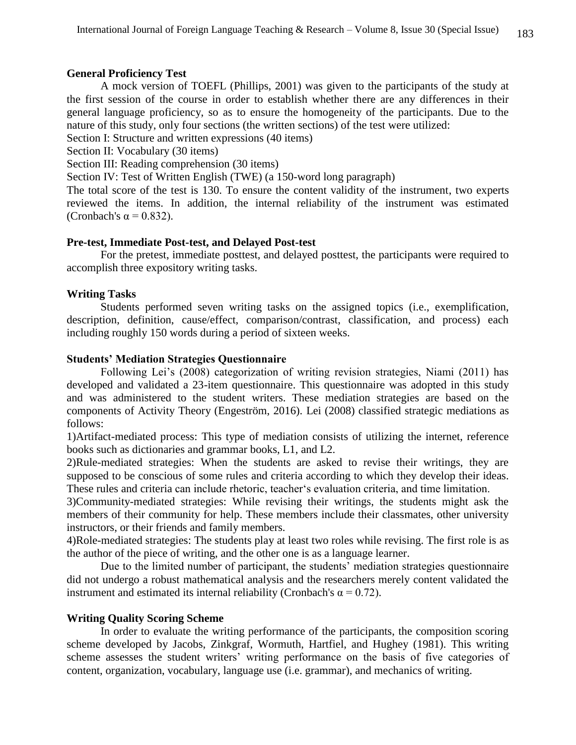### **General Proficiency Test**

A mock version of TOEFL (Phillips, 2001) was given to the participants of the study at the first session of the course in order to establish whether there are any differences in their general language proficiency, so as to ensure the homogeneity of the participants. Due to the nature of this study, only four sections (the written sections) of the test were utilized:

Section I: Structure and written expressions (40 items)

Section II: Vocabulary (30 items)

Section III: Reading comprehension (30 items)

Section IV: Test of Written English (TWE) (a 150-word long paragraph)

The total score of the test is 130. To ensure the content validity of the instrument, two experts reviewed the items. In addition, the internal reliability of the instrument was estimated (Cronbach's  $\alpha$  = 0.832).

### **Pre-test, Immediate Post-test, and Delayed Post-test**

For the pretest, immediate posttest, and delayed posttest, the participants were required to accomplish three expository writing tasks.

# **Writing Tasks**

Students performed seven writing tasks on the assigned topics (i.e., exemplification, description, definition, cause/effect, comparison/contrast, classification, and process) each including roughly 150 words during a period of sixteen weeks.

### **Students' Mediation Strategies Questionnaire**

Following Lei's (2008) categorization of writing revision strategies, Niami (2011) has developed and validated a 23-item questionnaire. This questionnaire was adopted in this study and was administered to the student writers. These mediation strategies are based on the components of Activity Theory (Engeström, 2016). Lei (2008) classified strategic mediations as follows:

1)Artifact-mediated process: This type of mediation consists of utilizing the internet, reference books such as dictionaries and grammar books, L1, and L2.

2)Rule-mediated strategies: When the students are asked to revise their writings, they are supposed to be conscious of some rules and criteria according to which they develop their ideas. These rules and criteria can include rhetoric, teacher's evaluation criteria, and time limitation.

3)Community-mediated strategies: While revising their writings, the students might ask the members of their community for help. These members include their classmates, other university instructors, or their friends and family members.

4)Role-mediated strategies: The students play at least two roles while revising. The first role is as the author of the piece of writing, and the other one is as a language learner.

Due to the limited number of participant, the students' mediation strategies questionnaire did not undergo a robust mathematical analysis and the researchers merely content validated the instrument and estimated its internal reliability (Cronbach's  $\alpha = 0.72$ ).

# **Writing Quality Scoring Scheme**

In order to evaluate the writing performance of the participants, the composition scoring scheme developed by Jacobs, Zinkgraf, Wormuth, Hartfiel, and Hughey (1981). This writing scheme assesses the student writers' writing performance on the basis of five categories of content, organization, vocabulary, language use (i.e. grammar), and mechanics of writing.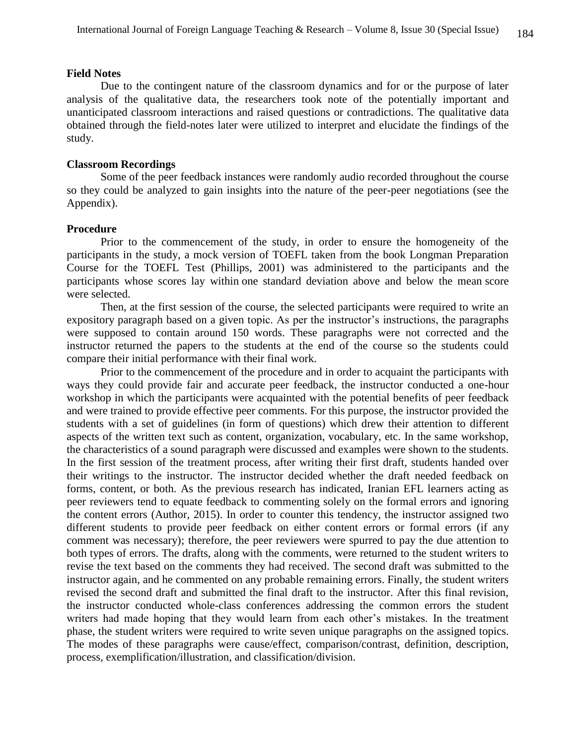### **Field Notes**

Due to the contingent nature of the classroom dynamics and for or the purpose of later analysis of the qualitative data, the researchers took note of the potentially important and unanticipated classroom interactions and raised questions or contradictions. The qualitative data obtained through the field-notes later were utilized to interpret and elucidate the findings of the study.

#### **Classroom Recordings**

Some of the peer feedback instances were randomly audio recorded throughout the course so they could be analyzed to gain insights into the nature of the peer-peer negotiations (see the Appendix).

#### **Procedure**

Prior to the commencement of the study, in order to ensure the homogeneity of the participants in the study, a mock version of TOEFL taken from the book Longman Preparation Course for the TOEFL Test (Phillips, 2001) was administered to the participants and the participants whose scores lay within one standard deviation above and below the mean score were selected.

Then, at the first session of the course, the selected participants were required to write an expository paragraph based on a given topic. As per the instructor's instructions, the paragraphs were supposed to contain around 150 words. These paragraphs were not corrected and the instructor returned the papers to the students at the end of the course so the students could compare their initial performance with their final work.

Prior to the commencement of the procedure and in order to acquaint the participants with ways they could provide fair and accurate peer feedback, the instructor conducted a one-hour workshop in which the participants were acquainted with the potential benefits of peer feedback and were trained to provide effective peer comments. For this purpose, the instructor provided the students with a set of guidelines (in form of questions) which drew their attention to different aspects of the written text such as content, organization, vocabulary, etc. In the same workshop, the characteristics of a sound paragraph were discussed and examples were shown to the students. In the first session of the treatment process, after writing their first draft, students handed over their writings to the instructor. The instructor decided whether the draft needed feedback on forms, content, or both. As the previous research has indicated, Iranian EFL learners acting as peer reviewers tend to equate feedback to commenting solely on the formal errors and ignoring the content errors (Author, 2015). In order to counter this tendency, the instructor assigned two different students to provide peer feedback on either content errors or formal errors (if any comment was necessary); therefore, the peer reviewers were spurred to pay the due attention to both types of errors. The drafts, along with the comments, were returned to the student writers to revise the text based on the comments they had received. The second draft was submitted to the instructor again, and he commented on any probable remaining errors. Finally, the student writers revised the second draft and submitted the final draft to the instructor. After this final revision, the instructor conducted whole-class conferences addressing the common errors the student writers had made hoping that they would learn from each other's mistakes. In the treatment phase, the student writers were required to write seven unique paragraphs on the assigned topics. The modes of these paragraphs were cause/effect, comparison/contrast, definition, description, process, exemplification/illustration, and classification/division.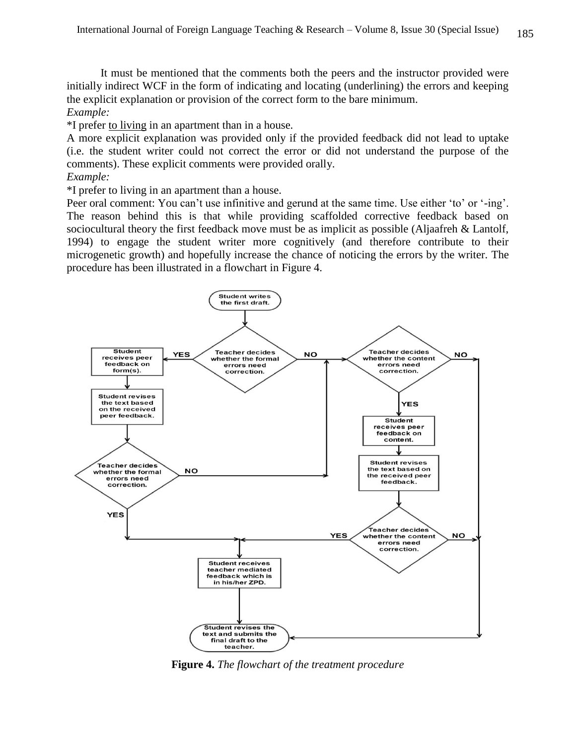It must be mentioned that the comments both the peers and the instructor provided were initially indirect WCF in the form of indicating and locating (underlining) the errors and keeping the explicit explanation or provision of the correct form to the bare minimum. *Example:*

\*I prefer to living in an apartment than in a house.

A more explicit explanation was provided only if the provided feedback did not lead to uptake (i.e. the student writer could not correct the error or did not understand the purpose of the comments). These explicit comments were provided orally.

*Example:*

\*I prefer to living in an apartment than a house.

Peer oral comment: You can't use infinitive and gerund at the same time. Use either 'to' or '-ing'. The reason behind this is that while providing scaffolded corrective feedback based on sociocultural theory the first feedback move must be as implicit as possible (Aljaafreh & Lantolf, 1994) to engage the student writer more cognitively (and therefore contribute to their microgenetic growth) and hopefully increase the chance of noticing the errors by the writer. The procedure has been illustrated in a flowchart in Figure 4.



**Figure 4.** *The flowchart of the treatment procedure*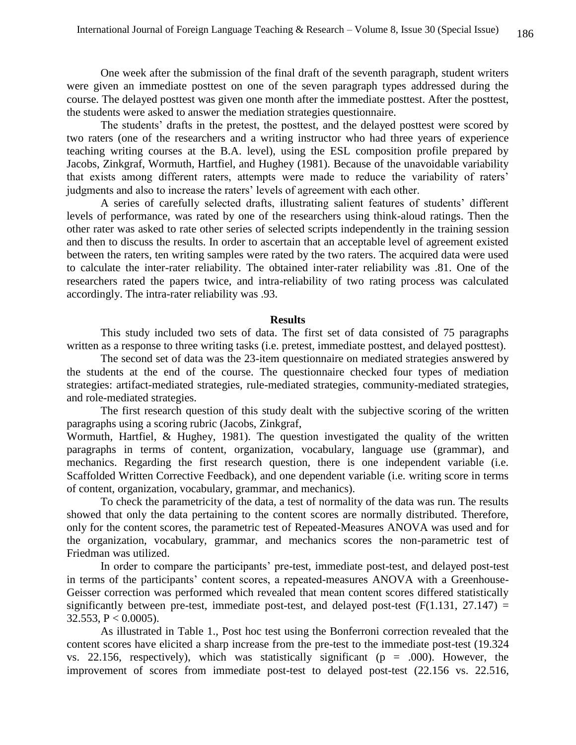One week after the submission of the final draft of the seventh paragraph, student writers were given an immediate posttest on one of the seven paragraph types addressed during the course. The delayed posttest was given one month after the immediate posttest. After the posttest, the students were asked to answer the mediation strategies questionnaire.

The students' drafts in the pretest, the posttest, and the delayed posttest were scored by two raters (one of the researchers and a writing instructor who had three years of experience teaching writing courses at the B.A. level), using the ESL composition profile prepared by Jacobs, Zinkgraf, Wormuth, Hartfiel, and Hughey (1981). Because of the unavoidable variability that exists among different raters, attempts were made to reduce the variability of raters' judgments and also to increase the raters' levels of agreement with each other.

A series of carefully selected drafts, illustrating salient features of students' different levels of performance, was rated by one of the researchers using think-aloud ratings. Then the other rater was asked to rate other series of selected scripts independently in the training session and then to discuss the results. In order to ascertain that an acceptable level of agreement existed between the raters, ten writing samples were rated by the two raters. The acquired data were used to calculate the inter-rater reliability. The obtained inter-rater reliability was .81. One of the researchers rated the papers twice, and intra-reliability of two rating process was calculated accordingly. The intra-rater reliability was .93.

#### **Results**

This study included two sets of data. The first set of data consisted of 75 paragraphs written as a response to three writing tasks (i.e. pretest, immediate posttest, and delayed posttest).

The second set of data was the 23-item questionnaire on mediated strategies answered by the students at the end of the course. The questionnaire checked four types of mediation strategies: artifact-mediated strategies, rule-mediated strategies, community-mediated strategies, and role-mediated strategies.

The first research question of this study dealt with the subjective scoring of the written paragraphs using a scoring rubric (Jacobs, Zinkgraf,

Wormuth, Hartfiel, & Hughey, 1981). The question investigated the quality of the written paragraphs in terms of content, organization, vocabulary, language use (grammar), and mechanics. Regarding the first research question, there is one independent variable (i.e. Scaffolded Written Corrective Feedback), and one dependent variable (i.e. writing score in terms of content, organization, vocabulary, grammar, and mechanics).

To check the parametricity of the data, a test of normality of the data was run. The results showed that only the data pertaining to the content scores are normally distributed. Therefore, only for the content scores, the parametric test of Repeated-Measures ANOVA was used and for the organization, vocabulary, grammar, and mechanics scores the non-parametric test of Friedman was utilized.

In order to compare the participants' pre-test, immediate post-test, and delayed post-test in terms of the participants' content scores, a repeated-measures ANOVA with a Greenhouse-Geisser correction was performed which revealed that mean content scores differed statistically significantly between pre-test, immediate post-test, and delayed post-test  $(F(1.131, 27.147) =$ 32.553,  $P < 0.0005$ ).

As illustrated in Table 1., Post hoc test using the Bonferroni correction revealed that the content scores have elicited a sharp increase from the pre-test to the immediate post-test (19.324 vs. 22.156, respectively), which was statistically significant ( $p = .000$ ). However, the improvement of scores from immediate post-test to delayed post-test (22.156 vs. 22.516,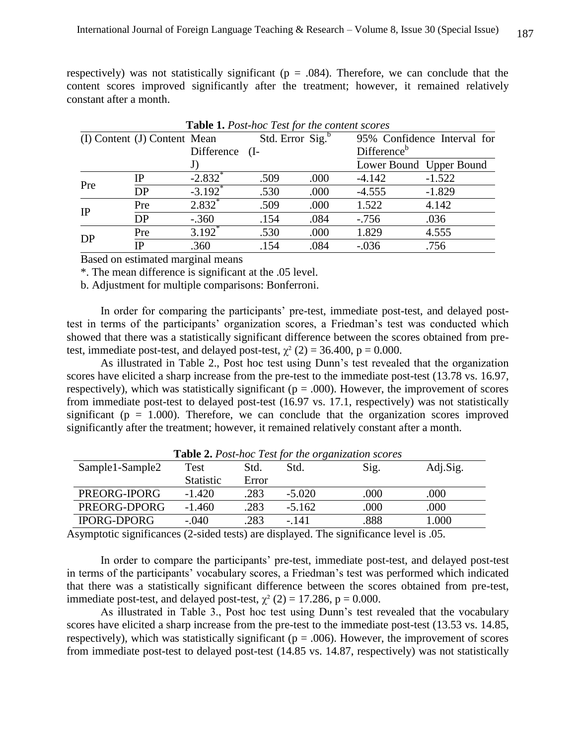respectively) was not statistically significant ( $p = .084$ ). Therefore, we can conclude that the content scores improved significantly after the treatment; however, it remained relatively constant after a month.

|     |                              |                       |                              | Table 1. Post-hoc Test for the content scores |                             |                         |
|-----|------------------------------|-----------------------|------------------------------|-----------------------------------------------|-----------------------------|-------------------------|
|     | (I) Content (J) Content Mean |                       | Std. Error Sig. <sup>b</sup> |                                               | 95% Confidence Interval for |                         |
|     |                              | Difference (I-        |                              |                                               | Difference <sup>b</sup>     |                         |
|     |                              | J)                    |                              |                                               |                             | Lower Bound Upper Bound |
| Pre | IΡ                           | $-2.832$ <sup>*</sup> | .509                         | .000                                          | $-4.142$                    | $-1.522$                |
|     | DP                           | $-3.192^*$            | .530                         | .000                                          | $-4.555$                    | $-1.829$                |
| IP  | Pre                          | $2.832^*$             | .509                         | .000                                          | 1.522                       | 4.142                   |
|     | DP                           | $-.360$               | .154                         | .084                                          | $-.756$                     | .036                    |
| DP  | Pre                          | $3.192^*$             | .530                         | .000                                          | 1.829                       | 4.555                   |
|     | ΙP                           | .360                  | .154                         | .084                                          | $-.036$                     | .756                    |

Based on estimated marginal means

\*. The mean difference is significant at the .05 level.

b. Adjustment for multiple comparisons: Bonferroni.

In order for comparing the participants' pre-test, immediate post-test, and delayed posttest in terms of the participants' organization scores, a Friedman's test was conducted which showed that there was a statistically significant difference between the scores obtained from pretest, immediate post-test, and delayed post-test,  $\chi^2$  (2) = 36.400, p = 0.000.

As illustrated in Table 2., Post hoc test using Dunn's test revealed that the organization scores have elicited a sharp increase from the pre-test to the immediate post-test (13.78 vs. 16.97, respectively), which was statistically significant ( $p = .000$ ). However, the improvement of scores from immediate post-test to delayed post-test (16.97 vs. 17.1, respectively) was not statistically significant ( $p = 1.000$ ). Therefore, we can conclude that the organization scores improved significantly after the treatment; however, it remained relatively constant after a month.

| <b>Lable 2.</b> Lost-hoc lest for the organization scores |                  |       |          |      |          |  |
|-----------------------------------------------------------|------------------|-------|----------|------|----------|--|
| Sample1-Sample2                                           | Test             | Std.  | Std.     | Sig. | Adj.Sig. |  |
|                                                           | <b>Statistic</b> | Error |          |      |          |  |
| PREORG-IPORG                                              | $-1.420$         | 283   | $-5.020$ | .000 | .000     |  |
| PREORG-DPORG                                              | $-1.460$         | .283  | $-5.162$ | .000 | .000     |  |
| <b>IPORG-DPORG</b>                                        | $-.040$          | 283   | $-141$   | .888 | .000     |  |

**Table 2.** *Post-hoc Test for the organization scores*

Asymptotic significances (2-sided tests) are displayed. The significance level is .05.

In order to compare the participants' pre-test, immediate post-test, and delayed post-test in terms of the participants' vocabulary scores, a Friedman's test was performed which indicated that there was a statistically significant difference between the scores obtained from pre-test, immediate post-test, and delayed post-test,  $\chi^2$  (2) = 17.286, p = 0.000.

As illustrated in Table 3., Post hoc test using Dunn's test revealed that the vocabulary scores have elicited a sharp increase from the pre-test to the immediate post-test (13.53 vs. 14.85, respectively), which was statistically significant ( $p = .006$ ). However, the improvement of scores from immediate post-test to delayed post-test (14.85 vs. 14.87, respectively) was not statistically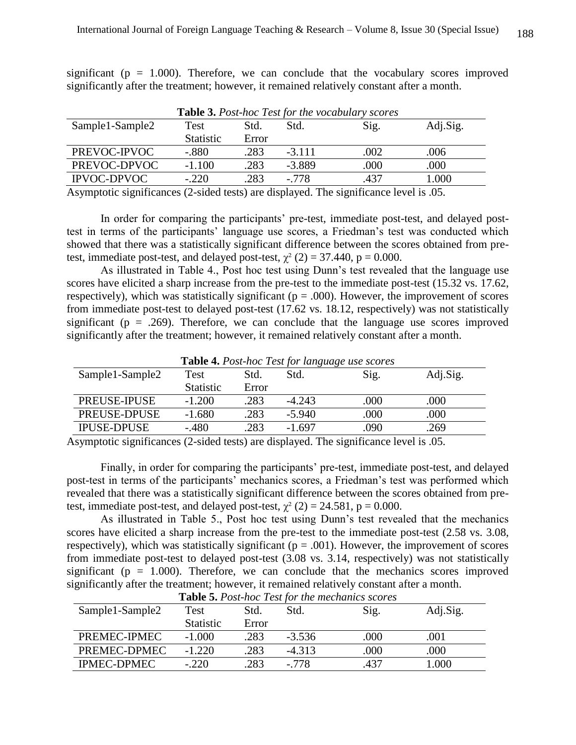significant ( $p = 1.000$ ). Therefore, we can conclude that the vocabulary scores improved significantly after the treatment; however, it remained relatively constant after a month.

|                    |                  |       |          | <b>Table 3.</b> Post-hoc Test for the vocabulary scores |          |
|--------------------|------------------|-------|----------|---------------------------------------------------------|----------|
| Sample1-Sample2    | <b>Test</b>      | Std.  | Std.     | Sig.                                                    | Adj.Sig. |
|                    | <b>Statistic</b> | Error |          |                                                         |          |
| PREVOC-IPVOC       | $-.880$          | .283  | $-3.111$ | .002                                                    | .006     |
| PREVOC-DPVOC       | $-1.100$         | .283  | $-3.889$ | .000                                                    | .000     |
| <b>IPVOC-DPVOC</b> | $-.220$          | .283  | $-778$   | .437                                                    | .000     |

Asymptotic significances (2-sided tests) are displayed. The significance level is .05.

In order for comparing the participants' pre-test, immediate post-test, and delayed posttest in terms of the participants' language use scores, a Friedman's test was conducted which showed that there was a statistically significant difference between the scores obtained from pretest, immediate post-test, and delayed post-test,  $\chi^2$  (2) = 37.440, p = 0.000.

As illustrated in Table 4., Post hoc test using Dunn's test revealed that the language use scores have elicited a sharp increase from the pre-test to the immediate post-test (15.32 vs. 17.62, respectively), which was statistically significant ( $p = .000$ ). However, the improvement of scores from immediate post-test to delayed post-test (17.62 vs. 18.12, respectively) was not statistically significant ( $p = .269$ ). Therefore, we can conclude that the language use scores improved significantly after the treatment; however, it remained relatively constant after a month.

| <b>Table 4.</b> Post-hoc Test for language use scores |                  |       |          |      |          |  |
|-------------------------------------------------------|------------------|-------|----------|------|----------|--|
| Sample1-Sample2                                       | Test             | Std.  | Std.     | Sig. | Adj.Sig. |  |
|                                                       | <b>Statistic</b> | Error |          |      |          |  |
| <b>PREUSE-IPUSE</b>                                   | $-1.200$         | .283  | $-4.243$ | .000 | .000     |  |
| PREUSE-DPUSE                                          | $-1.680$         | .283  | $-5.940$ | .000 | .000     |  |
| <b>IPUSE-DPUSE</b>                                    | $-.480$          | .283  | $-1.697$ | .090 | .269     |  |

**Table 4.** *Post-hoc Test for language use scores*

Asymptotic significances (2-sided tests) are displayed. The significance level is .05.

Finally, in order for comparing the participants' pre-test, immediate post-test, and delayed post-test in terms of the participants' mechanics scores, a Friedman's test was performed which revealed that there was a statistically significant difference between the scores obtained from pretest, immediate post-test, and delayed post-test,  $\chi^2$  (2) = 24.581, p = 0.000.

As illustrated in Table 5., Post hoc test using Dunn's test revealed that the mechanics scores have elicited a sharp increase from the pre-test to the immediate post-test  $(2.58 \text{ vs. } 3.08,$ respectively), which was statistically significant ( $p = .001$ ). However, the improvement of scores from immediate post-test to delayed post-test (3.08 vs. 3.14, respectively) was not statistically significant ( $p = 1.000$ ). Therefore, we can conclude that the mechanics scores improved significantly after the treatment; however, it remained relatively constant after a month.

|                    |                  |       |          | <b>Lable 5.</b> Post-noc Lest for the mechanics scores |          |
|--------------------|------------------|-------|----------|--------------------------------------------------------|----------|
| Sample1-Sample2    | Test             | Std.  | Std.     | Sig.                                                   | Adj.Sig. |
|                    | <b>Statistic</b> | Error |          |                                                        |          |
| PREMEC-IPMEC       | $-1.000$         | .283  | $-3.536$ | .000                                                   | .001     |
| PREMEC-DPMEC       | $-1.220$         | .283  | $-4.313$ | .000                                                   | .000     |
| <b>IPMEC-DPMEC</b> | $-.220$          | 283   | $-778$   | .437                                                   | 1.000    |

**Table 5.** *Post-hoc Test for the mechanics scores*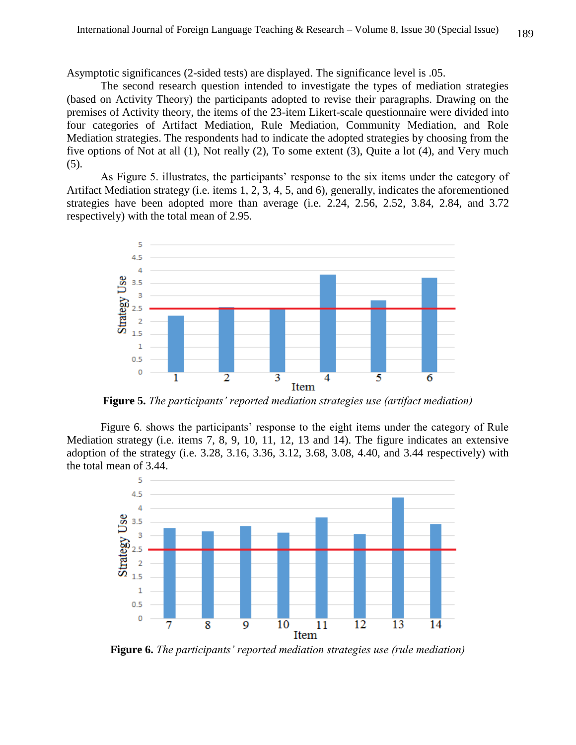Asymptotic significances (2-sided tests) are displayed. The significance level is .05.

The second research question intended to investigate the types of mediation strategies (based on Activity Theory) the participants adopted to revise their paragraphs. Drawing on the premises of Activity theory, the items of the 23-item Likert-scale questionnaire were divided into four categories of Artifact Mediation, Rule Mediation, Community Mediation, and Role Mediation strategies. The respondents had to indicate the adopted strategies by choosing from the five options of Not at all (1), Not really (2), To some extent (3), Quite a lot (4), and Very much (5).

As Figure 5. illustrates, the participants' response to the six items under the category of Artifact Mediation strategy (i.e. items 1, 2, 3, 4, 5, and 6), generally, indicates the aforementioned strategies have been adopted more than average (i.e. 2.24, 2.56, 2.52, 3.84, 2.84, and 3.72 respectively) with the total mean of 2.95.



**Figure 5.** *The participants' reported mediation strategies use (artifact mediation)*

Figure 6. shows the participants' response to the eight items under the category of Rule Mediation strategy (i.e. items 7, 8, 9, 10, 11, 12, 13 and 14). The figure indicates an extensive adoption of the strategy (i.e. 3.28, 3.16, 3.36, 3.12, 3.68, 3.08, 4.40, and 3.44 respectively) with the total mean of 3.44.



**Figure 6.** *The participants' reported mediation strategies use (rule mediation)*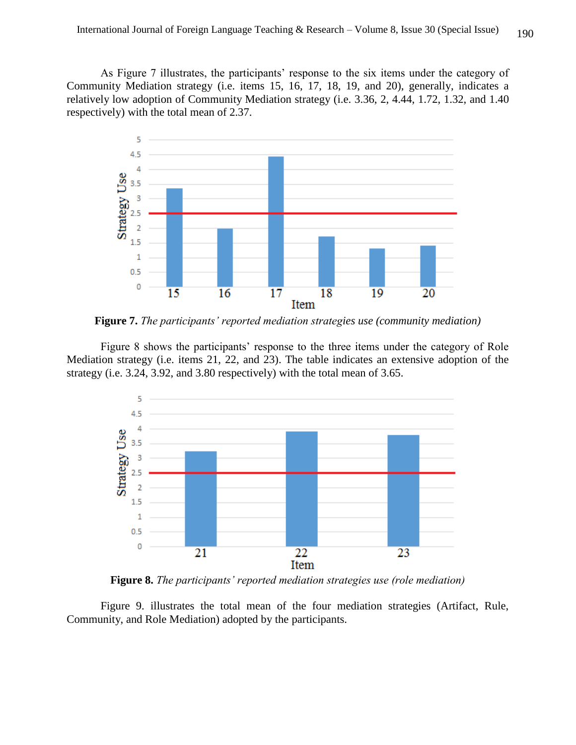As Figure 7 illustrates, the participants' response to the six items under the category of Community Mediation strategy (i.e. items 15, 16, 17, 18, 19, and 20), generally, indicates a relatively low adoption of Community Mediation strategy (i.e. 3.36, 2, 4.44, 1.72, 1.32, and 1.40 respectively) with the total mean of 2.37.



**Figure 7.** *The participants' reported mediation strategies use (community mediation)*

Figure 8 shows the participants' response to the three items under the category of Role Mediation strategy (i.e. items 21, 22, and 23). The table indicates an extensive adoption of the strategy (i.e. 3.24, 3.92, and 3.80 respectively) with the total mean of 3.65.



**Figure 8.** *The participants' reported mediation strategies use (role mediation)*

Figure 9. illustrates the total mean of the four mediation strategies (Artifact, Rule, Community, and Role Mediation) adopted by the participants.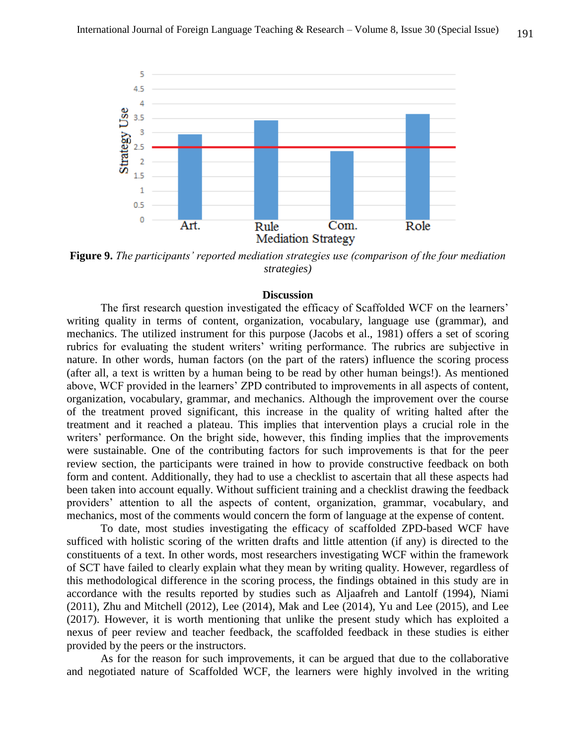

**Figure 9.** *The participants' reported mediation strategies use (comparison of the four mediation strategies)*

#### **Discussion**

The first research question investigated the efficacy of Scaffolded WCF on the learners' writing quality in terms of content, organization, vocabulary, language use (grammar), and mechanics. The utilized instrument for this purpose (Jacobs et al., 1981) offers a set of scoring rubrics for evaluating the student writers' writing performance. The rubrics are subjective in nature. In other words, human factors (on the part of the raters) influence the scoring process (after all, a text is written by a human being to be read by other human beings!). As mentioned above, WCF provided in the learners' ZPD contributed to improvements in all aspects of content, organization, vocabulary, grammar, and mechanics. Although the improvement over the course of the treatment proved significant, this increase in the quality of writing halted after the treatment and it reached a plateau. This implies that intervention plays a crucial role in the writers' performance. On the bright side, however, this finding implies that the improvements were sustainable. One of the contributing factors for such improvements is that for the peer review section, the participants were trained in how to provide constructive feedback on both form and content. Additionally, they had to use a checklist to ascertain that all these aspects had been taken into account equally. Without sufficient training and a checklist drawing the feedback providers' attention to all the aspects of content, organization, grammar, vocabulary, and mechanics, most of the comments would concern the form of language at the expense of content.

To date, most studies investigating the efficacy of scaffolded ZPD-based WCF have sufficed with holistic scoring of the written drafts and little attention (if any) is directed to the constituents of a text. In other words, most researchers investigating WCF within the framework of SCT have failed to clearly explain what they mean by writing quality. However, regardless of this methodological difference in the scoring process, the findings obtained in this study are in accordance with the results reported by studies such as Aljaafreh and Lantolf (1994), Niami (2011), Zhu and Mitchell (2012), Lee (2014), Mak and Lee (2014), Yu and Lee (2015), and Lee (2017). However, it is worth mentioning that unlike the present study which has exploited a nexus of peer review and teacher feedback, the scaffolded feedback in these studies is either provided by the peers or the instructors.

As for the reason for such improvements, it can be argued that due to the collaborative and negotiated nature of Scaffolded WCF, the learners were highly involved in the writing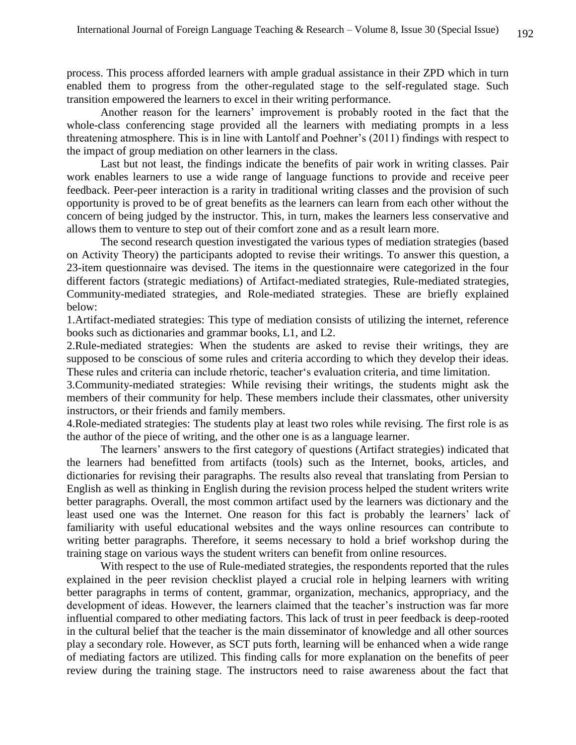process. This process afforded learners with ample gradual assistance in their ZPD which in turn enabled them to progress from the other-regulated stage to the self-regulated stage. Such transition empowered the learners to excel in their writing performance.

Another reason for the learners' improvement is probably rooted in the fact that the whole-class conferencing stage provided all the learners with mediating prompts in a less threatening atmosphere. This is in line with Lantolf and Poehner's (2011) findings with respect to the impact of group mediation on other learners in the class.

Last but not least, the findings indicate the benefits of pair work in writing classes. Pair work enables learners to use a wide range of language functions to provide and receive peer feedback. Peer-peer interaction is a rarity in traditional writing classes and the provision of such opportunity is proved to be of great benefits as the learners can learn from each other without the concern of being judged by the instructor. This, in turn, makes the learners less conservative and allows them to venture to step out of their comfort zone and as a result learn more.

The second research question investigated the various types of mediation strategies (based on Activity Theory) the participants adopted to revise their writings. To answer this question, a 23-item questionnaire was devised. The items in the questionnaire were categorized in the four different factors (strategic mediations) of Artifact-mediated strategies, Rule-mediated strategies, Community-mediated strategies, and Role-mediated strategies. These are briefly explained below:

1.Artifact-mediated strategies: This type of mediation consists of utilizing the internet, reference books such as dictionaries and grammar books, L1, and L2.

2.Rule-mediated strategies: When the students are asked to revise their writings, they are supposed to be conscious of some rules and criteria according to which they develop their ideas. These rules and criteria can include rhetoric, teacher's evaluation criteria, and time limitation.

3.Community-mediated strategies: While revising their writings, the students might ask the members of their community for help. These members include their classmates, other university instructors, or their friends and family members.

4.Role-mediated strategies: The students play at least two roles while revising. The first role is as the author of the piece of writing, and the other one is as a language learner.

The learners' answers to the first category of questions (Artifact strategies) indicated that the learners had benefitted from artifacts (tools) such as the Internet, books, articles, and dictionaries for revising their paragraphs. The results also reveal that translating from Persian to English as well as thinking in English during the revision process helped the student writers write better paragraphs. Overall, the most common artifact used by the learners was dictionary and the least used one was the Internet. One reason for this fact is probably the learners' lack of familiarity with useful educational websites and the ways online resources can contribute to writing better paragraphs. Therefore, it seems necessary to hold a brief workshop during the training stage on various ways the student writers can benefit from online resources.

With respect to the use of Rule-mediated strategies, the respondents reported that the rules explained in the peer revision checklist played a crucial role in helping learners with writing better paragraphs in terms of content, grammar, organization, mechanics, appropriacy, and the development of ideas. However, the learners claimed that the teacher's instruction was far more influential compared to other mediating factors. This lack of trust in peer feedback is deep-rooted in the cultural belief that the teacher is the main disseminator of knowledge and all other sources play a secondary role. However, as SCT puts forth, learning will be enhanced when a wide range of mediating factors are utilized. This finding calls for more explanation on the benefits of peer review during the training stage. The instructors need to raise awareness about the fact that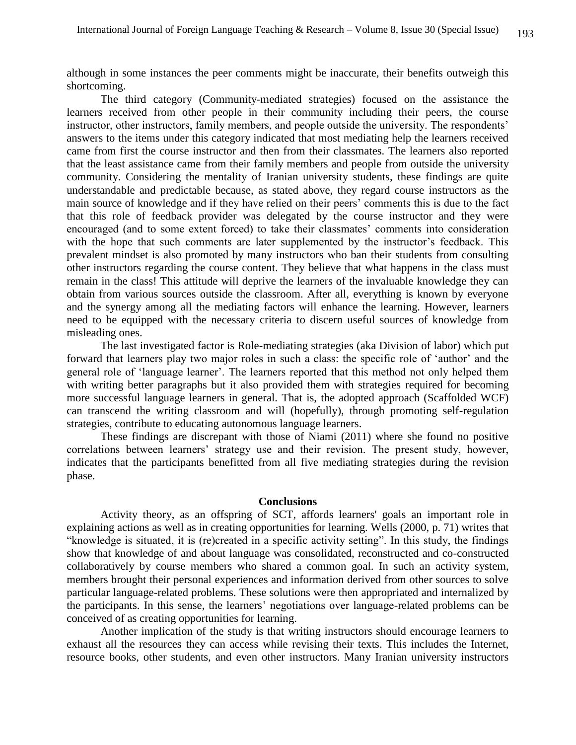although in some instances the peer comments might be inaccurate, their benefits outweigh this shortcoming.

The third category (Community-mediated strategies) focused on the assistance the learners received from other people in their community including their peers, the course instructor, other instructors, family members, and people outside the university. The respondents' answers to the items under this category indicated that most mediating help the learners received came from first the course instructor and then from their classmates. The learners also reported that the least assistance came from their family members and people from outside the university community. Considering the mentality of Iranian university students, these findings are quite understandable and predictable because, as stated above, they regard course instructors as the main source of knowledge and if they have relied on their peers' comments this is due to the fact that this role of feedback provider was delegated by the course instructor and they were encouraged (and to some extent forced) to take their classmates' comments into consideration with the hope that such comments are later supplemented by the instructor's feedback. This prevalent mindset is also promoted by many instructors who ban their students from consulting other instructors regarding the course content. They believe that what happens in the class must remain in the class! This attitude will deprive the learners of the invaluable knowledge they can obtain from various sources outside the classroom. After all, everything is known by everyone and the synergy among all the mediating factors will enhance the learning. However, learners need to be equipped with the necessary criteria to discern useful sources of knowledge from misleading ones.

The last investigated factor is Role-mediating strategies (aka Division of labor) which put forward that learners play two major roles in such a class: the specific role of 'author' and the general role of 'language learner'. The learners reported that this method not only helped them with writing better paragraphs but it also provided them with strategies required for becoming more successful language learners in general. That is, the adopted approach (Scaffolded WCF) can transcend the writing classroom and will (hopefully), through promoting self-regulation strategies, contribute to educating autonomous language learners.

These findings are discrepant with those of Niami (2011) where she found no positive correlations between learners' strategy use and their revision. The present study, however, indicates that the participants benefitted from all five mediating strategies during the revision phase.

#### **Conclusions**

Activity theory, as an offspring of SCT, affords learners' goals an important role in explaining actions as well as in creating opportunities for learning. Wells (2000, p. 71) writes that "knowledge is situated, it is (re)created in a specific activity setting". In this study, the findings show that knowledge of and about language was consolidated, reconstructed and co-constructed collaboratively by course members who shared a common goal. In such an activity system, members brought their personal experiences and information derived from other sources to solve particular language-related problems. These solutions were then appropriated and internalized by the participants. In this sense, the learners' negotiations over language-related problems can be conceived of as creating opportunities for learning.

Another implication of the study is that writing instructors should encourage learners to exhaust all the resources they can access while revising their texts. This includes the Internet, resource books, other students, and even other instructors. Many Iranian university instructors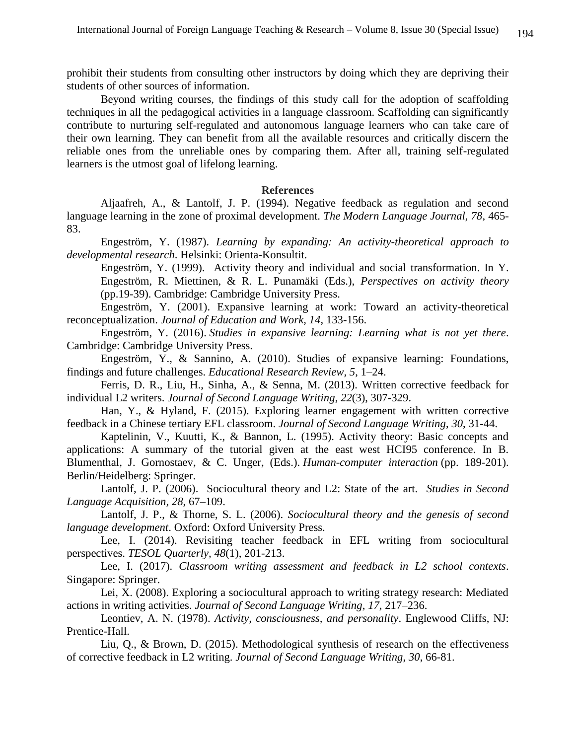prohibit their students from consulting other instructors by doing which they are depriving their students of other sources of information.

Beyond writing courses, the findings of this study call for the adoption of scaffolding techniques in all the pedagogical activities in a language classroom. Scaffolding can significantly contribute to nurturing self-regulated and autonomous language learners who can take care of their own learning. They can benefit from all the available resources and critically discern the reliable ones from the unreliable ones by comparing them. After all, training self-regulated learners is the utmost goal of lifelong learning.

#### **References**

Aljaafreh, A., & Lantolf, J. P. (1994). Negative feedback as regulation and second language learning in the zone of proximal development. *The Modern Language Journal, 78*, 465- 83.

Engeström, Y. (1987). *Learning by expanding: An activity-theoretical approach to developmental research*. Helsinki: Orienta-Konsultit.

Engeström, Y. (1999). Activity theory and individual and social transformation. In Y. Engeström, R. Miettinen, & R. L. Punamäki (Eds.), *Perspectives on activity theory*  (pp.19-39). Cambridge: Cambridge University Press.

Engeström, Y. (2001). Expansive learning at work: Toward an activity-theoretical reconceptualization. *Journal of Education and Work, 14*, 133-156.

Engeström, Y. (2016). *Studies in expansive learning: Learning what is not yet there*. Cambridge: Cambridge University Press.

Engeström, Y., & Sannino, A. (2010). Studies of expansive learning: Foundations, findings and future challenges. *Educational Research Review, 5*, 1–24.

Ferris, D. R., Liu, H., Sinha, A., & Senna, M. (2013). Written corrective feedback for individual L2 writers. *Journal of Second Language Writing*, *22*(3), 307-329.

Han, Y., & Hyland, F. (2015). Exploring learner engagement with written corrective feedback in a Chinese tertiary EFL classroom. *Journal of Second Language Writing*, *30*, 31-44.

Kaptelinin, V., Kuutti, K., & Bannon, L. (1995). Activity theory: Basic concepts and applications: A summary of the tutorial given at the east west HCI95 conference. In B. Blumenthal, J. Gornostaev, & C. Unger, (Eds.). *Human-computer interaction* (pp. 189-201). Berlin/Heidelberg: Springer.

Lantolf, J. P. (2006). Sociocultural theory and L2: State of the art. *Studies in Second Language Acquisition, 28*, 67–109.

Lantolf, J. P., & Thorne, S. L. (2006). *Sociocultural theory and the genesis of second language development*. Oxford: Oxford University Press.

Lee, I. (2014). Revisiting teacher feedback in EFL writing from sociocultural perspectives. *TESOL Quarterly, 48*(1), 201-213.

Lee, I. (2017). *Classroom writing assessment and feedback in L2 school contexts*. Singapore: Springer.

Lei, X. (2008). Exploring a sociocultural approach to writing strategy research: Mediated actions in writing activities. *Journal of Second Language Writing*, *17*, 217–236.

Leontiev, A. N. (1978). *Activity, consciousness, and personality*. Englewood Cliffs, NJ: Prentice-Hall.

Liu, Q., & Brown, D. (2015). Methodological synthesis of research on the effectiveness of corrective feedback in L2 writing. *Journal of Second Language Writing*, *30*, 66-81.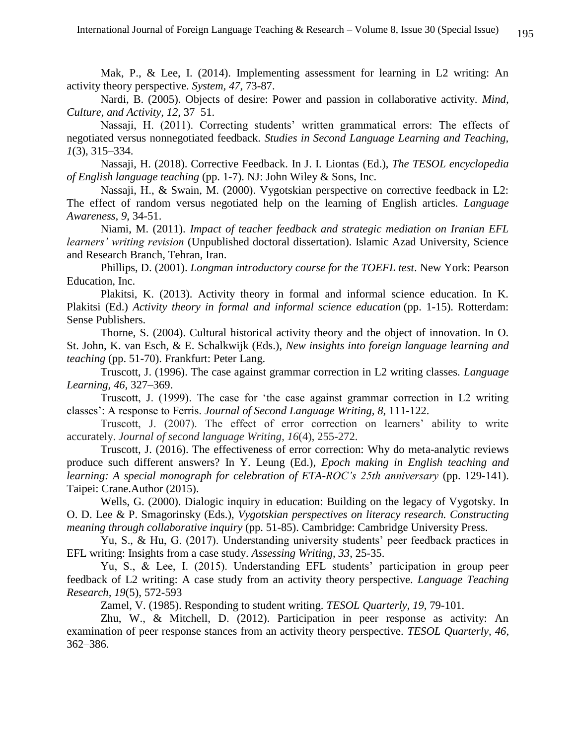Mak, P., & Lee, I. (2014). Implementing assessment for learning in L2 writing: An activity theory perspective. *System, 47*, 73-87.

Nardi, B. (2005). Objects of desire: Power and passion in collaborative activity. *Mind, Culture, and Activity, 12*, 37–51.

Nassaji, H. (2011). Correcting students' written grammatical errors: The effects of negotiated versus nonnegotiated feedback. *Studies in Second Language Learning and Teaching, 1*(3), 315–334.

Nassaji, H. (2018). Corrective Feedback. In J. I. Liontas (Ed.), *The TESOL encyclopedia of English language teaching* (pp. 1-7). NJ: John Wiley & Sons, Inc.

Nassaji, H., & Swain, M. (2000). Vygotskian perspective on corrective feedback in L2: The effect of random versus negotiated help on the learning of English articles. *Language Awareness, 9*, 34-51.

Niami, M. (2011). *Impact of teacher feedback and strategic mediation on Iranian EFL learners' writing revision* (Unpublished doctoral dissertation). Islamic Azad University, Science and Research Branch, Tehran, Iran.

Phillips, D. (2001). *Longman introductory course for the TOEFL test*. New York: Pearson Education, Inc.

Plakitsi, K. (2013). Activity theory in formal and informal science education. In K. Plakitsi (Ed.) *Activity theory in formal and informal science education* (pp. 1-15). Rotterdam: Sense Publishers.

Thorne, S. (2004). Cultural historical activity theory and the object of innovation. In O. St. John, K. van Esch, & E. Schalkwijk (Eds.), *New insights into foreign language learning and teaching* (pp. 51-70). Frankfurt: Peter Lang.

Truscott, J. (1996). The case against grammar correction in L2 writing classes. *Language Learning, 46*, 327–369.

Truscott, J. (1999). The case for 'the case against grammar correction in L2 writing classes': A response to Ferris. *Journal of Second Language Writing, 8*, 111-122.

Truscott, J. (2007). The effect of error correction on learners' ability to write accurately. *Journal of second language Writing*, *16*(4), 255-272.

Truscott, J. (2016). The effectiveness of error correction: Why do meta-analytic reviews produce such different answers? In Y. Leung (Ed.), *Epoch making in English teaching and learning: A special monograph for celebration of ETA-ROC's 25th anniversary* (pp. 129-141). Taipei: Crane.Author (2015).

Wells, G. (2000). Dialogic inquiry in education: Building on the legacy of Vygotsky. In O. D. Lee & P. Smagorinsky (Eds.), *Vygotskian perspectives on literacy research. Constructing meaning through collaborative inquiry* (pp. 51-85). Cambridge: Cambridge University Press.

Yu, S., & Hu, G. (2017). Understanding university students' peer feedback practices in EFL writing: Insights from a case study. *Assessing Writing, 33*, 25-35.

Yu, S., & Lee, I. (2015). Understanding EFL students' participation in group peer feedback of L2 writing: A case study from an activity theory perspective. *Language Teaching Research, 19*(5), 572-593

Zamel, V. (1985). Responding to student writing. *TESOL Quarterly, 19*, 79-101.

Zhu, W., & Mitchell, D. (2012). Participation in peer response as activity: An examination of peer response stances from an activity theory perspective. *TESOL Quarterly, 46*, 362–386.